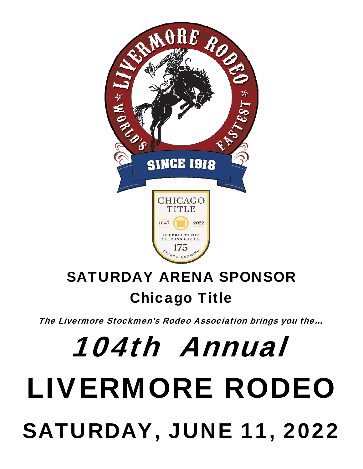

## **SATURDAY ARENA SPONSOR Chicago Title**

The Livermore Stockmen's Rodeo Association brings you the...

## 104th Annual **LIVERMORE RODEO SATURDAY, JUNE 11, 2022**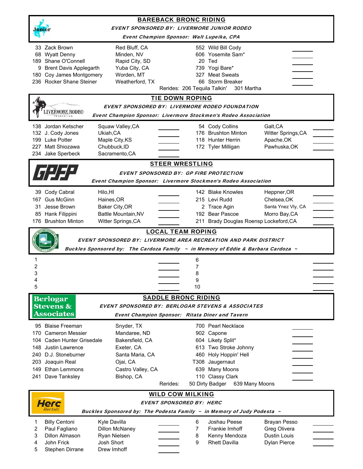| <b>BAREBACK BRONC RIDING</b>                                                                    |                                                                                   |  |  |  |  |  |  |                                |
|-------------------------------------------------------------------------------------------------|-----------------------------------------------------------------------------------|--|--|--|--|--|--|--------------------------------|
| <b>EVENT SPONSORED BY: LIVERMORE JUNIOR RODEO</b><br>Event Champion Sponsor: Walt Lupeika, CPA  |                                                                                   |  |  |  |  |  |  |                                |
|                                                                                                 |                                                                                   |  |  |  |  |  |  | 33 Zack Brown<br>Red Bluff, CA |
| 68 Wyatt Denny<br>Minden, NV                                                                    | 606 Yosemite Sam*                                                                 |  |  |  |  |  |  |                                |
| 189 Shane O'Connell<br>Rapid City, SD                                                           | 20 Ted                                                                            |  |  |  |  |  |  |                                |
| Yuba City, CA<br>9 Brent Davis Applegarth<br>Worden, MT<br>180 Coy James Montgomery             | 739 Yogi Bare*<br>327 Meat Sweats                                                 |  |  |  |  |  |  |                                |
| 236 Rocker Shane Steiner<br>Weatherford, TX                                                     | 66 Storm Breaker                                                                  |  |  |  |  |  |  |                                |
|                                                                                                 | Rerides: 206 Tequila Talkin'<br>301 Martha                                        |  |  |  |  |  |  |                                |
| <b>TIE DOWN ROPING</b>                                                                          |                                                                                   |  |  |  |  |  |  |                                |
| EVENT SPONSORED BY: LIVERMORE RODEO FOUNDATION<br><b>IVERMORE RODEC</b>                         |                                                                                   |  |  |  |  |  |  |                                |
|                                                                                                 | Event Champion Sponsor: Livermore Stockmen's Rodeo Association                    |  |  |  |  |  |  |                                |
| 138 Jordan Ketscher<br>Squaw Valley, CA                                                         | 54 Cody Collins<br>Galt, CA                                                       |  |  |  |  |  |  |                                |
| 132 J. Cody Jones<br>Ukiah, CA                                                                  | 176 Brushton Minton<br>Witter Springs, CA                                         |  |  |  |  |  |  |                                |
| 199 Luke Potter<br>Maple City, KS<br>227 Matt Shiozawa<br>Chubbuck, ID                          | 118 Hunter Herrin<br>Apache, OK<br>Pawhuska, OK                                   |  |  |  |  |  |  |                                |
| 234 Jake Sperbeck<br>Sacramento, CA                                                             | 172 Tyler Milligan                                                                |  |  |  |  |  |  |                                |
|                                                                                                 | <b>STEER WRESTLING</b>                                                            |  |  |  |  |  |  |                                |
|                                                                                                 | <b>EVENT SPONSORED BY: GP FIRE PROTECTION</b>                                     |  |  |  |  |  |  |                                |
|                                                                                                 | Event Champion Sponsor: Livermore Stockmen's Rodeo Association                    |  |  |  |  |  |  |                                |
| 39 Cody Cabral<br>Hilo, HI                                                                      | 142 Blake Knowles<br>Heppner, OR                                                  |  |  |  |  |  |  |                                |
| <b>Gus McGinn</b><br>Haines, OR<br>167                                                          | 215 Levi Rudd<br>Chelsea, OK                                                      |  |  |  |  |  |  |                                |
| Jesse Brown<br>Baker City, OR<br>31                                                             | 2 Trace Agin<br>Santa Ynez Vly, CA                                                |  |  |  |  |  |  |                                |
| Battle Mountain, NV<br>85 Hank Filippini                                                        | 192 Bear Pascoe<br>Morro Bay, CA                                                  |  |  |  |  |  |  |                                |
| 176 Brushton Minton<br>Witter Springs, CA                                                       | 211 Brady Douglas Roensp Lockeford, CA                                            |  |  |  |  |  |  |                                |
|                                                                                                 | <b>LOCAL TEAM ROPING</b>                                                          |  |  |  |  |  |  |                                |
|                                                                                                 | EVENT SPONSORED BY: LIVERMORE AREA RECREATION AND PARK DISTRICT                   |  |  |  |  |  |  |                                |
|                                                                                                 | Buckles Sponsored by: The Cardoza Family ~ in Memory of Eddie & Barbara Cardoza ~ |  |  |  |  |  |  |                                |
| 1                                                                                               | 6                                                                                 |  |  |  |  |  |  |                                |
| 2                                                                                               | 7                                                                                 |  |  |  |  |  |  |                                |
| 3                                                                                               | 8                                                                                 |  |  |  |  |  |  |                                |
| 4                                                                                               | 9                                                                                 |  |  |  |  |  |  |                                |
| 5                                                                                               | 10                                                                                |  |  |  |  |  |  |                                |
| <b>Berlogar</b>                                                                                 | <b>SADDLE BRONC RIDING</b>                                                        |  |  |  |  |  |  |                                |
| <b>Stevens &amp;</b><br><b>Associates</b>                                                       | <b>EVENT SPONSORED BY: BERLOGAR STEVENS &amp; ASSOCIATES</b>                      |  |  |  |  |  |  |                                |
|                                                                                                 | <b>Event Champion Sponsor: Ritata Diner and Tavern</b>                            |  |  |  |  |  |  |                                |
| 95 Blaise Freeman<br>Snyder, TX                                                                 | 700 Pearl Necklace                                                                |  |  |  |  |  |  |                                |
| 170 Cameron Messier<br>Mandaree, ND                                                             | 902 Capone                                                                        |  |  |  |  |  |  |                                |
| Caden Hunter Grisedale<br>Bakersfield, CA<br>104<br>148<br>Exeter, CA<br><b>Justin Lawrence</b> | 604 Likety Split*                                                                 |  |  |  |  |  |  |                                |
| 240 D.J. Stoneburner<br>Santa Maria, CA                                                         | 613 Two Stroke Johnny<br>460 Holy Hoppin' Hell                                    |  |  |  |  |  |  |                                |
| Ojai, CA<br>203<br>Joaquin Real                                                                 | T308 Jaugernaut                                                                   |  |  |  |  |  |  |                                |
| Ethan Lemmons<br>Castro Valley, CA<br>149                                                       | 639 Many Moons                                                                    |  |  |  |  |  |  |                                |
| Dave Tanksley<br>Bishop, CA<br>241                                                              | 110 Classy Clark                                                                  |  |  |  |  |  |  |                                |
|                                                                                                 | 50 Dirty Badger<br>Rerides:<br>639 Many Moons                                     |  |  |  |  |  |  |                                |
|                                                                                                 | <b>WILD COW MILKING</b>                                                           |  |  |  |  |  |  |                                |
| Herc                                                                                            | <b>EVENT SPONSORED BY: HERC</b>                                                   |  |  |  |  |  |  |                                |
| Rentals<br>Buckles Sponsored by: The Podesta Family ~ in Memory of Judy Podesta ~               |                                                                                   |  |  |  |  |  |  |                                |
| <b>Billy Centoni</b><br>Kyle Davilla<br>1                                                       | Joshau Peese<br>6<br>Brayan Pesso                                                 |  |  |  |  |  |  |                                |
| 2<br>Paul Fagliano<br>Dillon McNaney                                                            | 7<br>Frankie Imhoff<br>Greg Olivera                                               |  |  |  |  |  |  |                                |
| 3<br><b>Dillon Almason</b><br>Ryan Nielsen                                                      | <b>Dustin Louis</b><br>8<br>Kenny Mendoza                                         |  |  |  |  |  |  |                                |
| Josh Short<br>4<br>John Frick<br>Drew Imhoff                                                    | 9<br><b>Rhett Davilla</b><br>Dylan Pierce                                         |  |  |  |  |  |  |                                |
| 5<br>Stephen Dirrane                                                                            |                                                                                   |  |  |  |  |  |  |                                |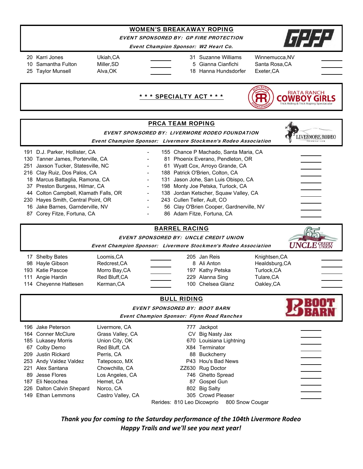## WOMEN'S BREAKAWAY ROPING

EVENT SPONSORED BY: GP FIRE PROTECTION

Event Champion Sponsor: W2 Heart Co.

- 
- 20 Karri Jones Ukiah,CA 31 Suzanne Williams Winnemucca,NV 10 Samantha Fulton Miller,SD 5 Gianna Cianfichi Santa Rosa,CA

25 Taylor Munsell **Alva, OK** 18 Hanna Hundsdorfer Exeter, CA



|                                                                                                                                                                                                                                                                                                                                                                  |                                                                                | <b>EVENT SPONSORED BY: LIVERMORE RODEO FOUNDATION</b><br>Event Champion Sponsor: Livermore Stockmen's Rodeo Association                                                                                                                                                                                                                                                        |  |
|------------------------------------------------------------------------------------------------------------------------------------------------------------------------------------------------------------------------------------------------------------------------------------------------------------------------------------------------------------------|--------------------------------------------------------------------------------|--------------------------------------------------------------------------------------------------------------------------------------------------------------------------------------------------------------------------------------------------------------------------------------------------------------------------------------------------------------------------------|--|
| 191 D.J. Parker, Hollister, CA<br>130 Tanner James, Porterville, CA<br>251 Jaxson Tucker, Statesville, NC<br>216 Clay Ruiz, Dos Palos, CA<br>18 Marcus Battaglia, Ramona, CA<br>37 Preston Burgess, Hilmar, CA<br>44 Colton Campbell, Klamath Falls, OR<br>230 Hayes Smith, Central Point, OR<br>16 Jake Barnes, Garnderville, NV<br>87 Corey Fitze, Fortuna, CA | $\overline{\phantom{0}}$<br>$\blacksquare$<br>$\blacksquare$<br>$\blacksquare$ | 155 Chance P Machado, Santa Maria, CA<br>81 Phoenix Everano, Pendleton, OR<br>61 Wyatt Cox, Arroyo Grande, CA<br>188 Patrick O'Brien, Colton, CA<br>131 Jason Johe, San Luis Obispo, CA<br>198 Monty Joe Petska, Turlock, CA<br>138 Jordan Ketscher, Squaw Valley, CA<br>243 Cullen Teller, Ault, CO<br>56 Clay O'Brien Cooper, Gardnerville, NV<br>86 Adam Fitze, Fortuna, CA |  |
| <b>EVENT SPONSORED BY: UNCLE CREDIT UNION</b>                                                                                                                                                                                                                                                                                                                    |                                                                                |                                                                                                                                                                                                                                                                                                                                                                                |  |

Event Champion Sponsor: Livermore Stockmen's Rodeo Association



|     | 196 Jake Peterson         | Livermore, CA     | 777.                       | Jackpot                 |  |
|-----|---------------------------|-------------------|----------------------------|-------------------------|--|
|     | 164 Conner McClure        | Grass Valley, CA  | CV.                        | Big Nasty Jax           |  |
|     | 185 Lukasey Morris        | Union City, OK    |                            | 670 Louisiana Lightning |  |
|     | 67 Colby Demo             | Red Bluff, CA     |                            | X84 Terminator          |  |
| 209 | Justin Rickard            | Perris, CA        | 88                         | Buckcherry              |  |
|     | 253 Andy Valdez Valdez    | Tateposco, MX     |                            | P43 Hou's Bad News      |  |
|     | 221 Alex Santana          | Chowchilla, CA    |                            | ZZ630 Rug Doctor        |  |
| 89. | Jesse Flores              | Los Angeles, CA   |                            | 746 Ghetto Spread       |  |
| 187 | Eli Necochea              | Hemet, CA         | 87                         | Gospel Gun              |  |
|     | 226 Dalton Calvin Shepard | Norco, CA         |                            | 802 Big Salty           |  |
|     | 149 Ethan Lemmons         | Castro Valley, CA |                            | 305 Crowd Pleaser       |  |
|     |                           |                   | Rerides: 810 Leo Dicowprio | 800 Snow Cougar         |  |

*Thank you for coming to the Saturday performance of the 104th Livermore Rodeo Happy Trails and we'll see you next year!*